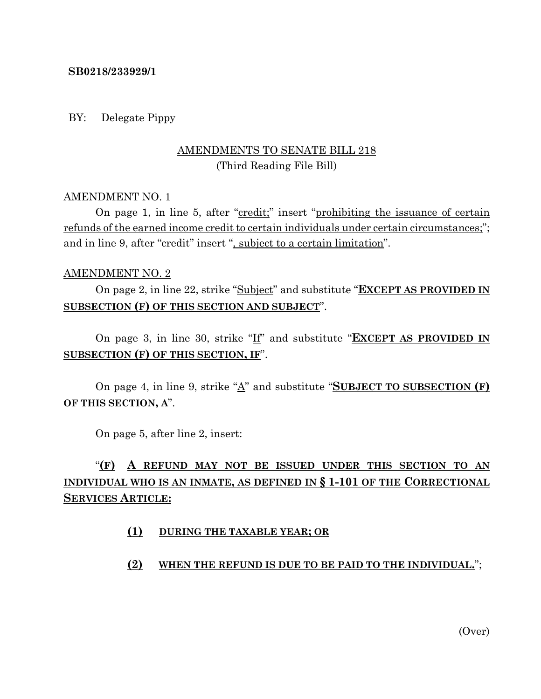#### **SB0218/233929/1**

#### BY: Delegate Pippy

## AMENDMENTS TO SENATE BILL 218 (Third Reading File Bill)

#### AMENDMENT NO. 1

On page 1, in line 5, after "credit;" insert "prohibiting the issuance of certain refunds of the earned income credit to certain individuals under certain circumstances;"; and in line 9, after "credit" insert ", subject to a certain limitation".

#### AMENDMENT NO. 2

On page 2, in line 22, strike "Subject" and substitute "**EXCEPT AS PROVIDED IN SUBSECTION (F) OF THIS SECTION AND SUBJECT**".

On page 3, in line 30, strike "If" and substitute "**EXCEPT AS PROVIDED IN SUBSECTION (F) OF THIS SECTION, IF**".

On page 4, in line 9, strike "A" and substitute "**SUBJECT TO SUBSECTION (F) OF THIS SECTION, A**".

On page 5, after line 2, insert:

# "**(F) A REFUND MAY NOT BE ISSUED UNDER THIS SECTION TO AN INDIVIDUAL WHO IS AN INMATE, AS DEFINED IN § 1-101 OF THE CORRECTIONAL SERVICES ARTICLE:**

#### **(1) DURING THE TAXABLE YEAR; OR**

#### **(2) WHEN THE REFUND IS DUE TO BE PAID TO THE INDIVIDUAL.**";

(Over)